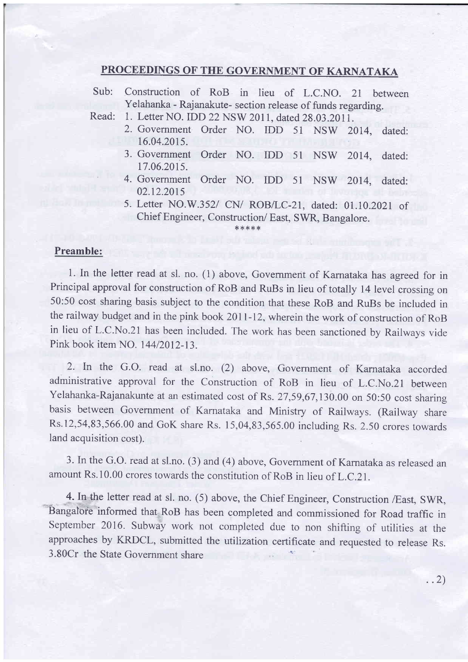## PROCEEDINGS OF THE GOVERNMENT OF KARNATAKA

Sub: construction of RoB in lieu of L.c.No. 2t between Yelahanka - Rajanakute- section release of funds regarding.

Read: 1. Letter NO. IDD 22 NSW 2011, dated 28.03.2011.

- 2. Government Order NO. IDD 51 NSW 2014, dated: 16.04.2015.
- 3. Government Order NO. IDD 5l NSW 2014, dated: 17.06.201s.
- 4. Government Order NO. IDD 5l NSW 2014, dated: 02.12.2015
- 5. Letter NO.W.352/ CN/ ROB/LC-21, dated: 01.10.2021 of Chief Engineer, Construction/ East, SWR, Bangalore.

\*\*\*\*\*

## Preamble:

1. In the letter read at sl. no. (1) above, Government of Karnataka has agreed for in Principal approval for construction of RoB and RuBs in lieu of totally 14 level crossing on 50:50 cost sharing basis subject to the condition that these RoB and RuBs be included in the railway budget and in the pink book 2OlI-12, wherein the work of construction of RoB in lieu of L.C.No.21 has been included. The work has been sanctioned by Railways vicle Pink book item NO. 144/2012-13.

2. In the G.O. read at sl.no. (2) above, Government of Karnataka accorded administrative approval for the Construction of RoB in lieu of L.C.No.21 between Yelahanka-Rajanakunte at an estimated cost of Rs. 27,59,67,130.00 on 50:50 cost sharing basis between Government of Karnataka and Ministry of Railways. (Railway share Rs.12,54,83,566.00 and GoK share Rs. 15,04,83,565.00 including Rs.2.50 crores towards land acquisition cost).

3. In the G.O. read at sl.no. (3) and (4) above, Government of Karnataka as released an amount Rs.10.00 crores towards the constitution of RoB in lieu of L.C.21.

4. In the letter read at sl. no. (5) above, the Chief Engineer, Construction /East, SWR, Bangalore informed that RoB has been completed and commissioned for Road traffic in September 2016. Subway work not completed due to non shifting of utilities at the approaches by KRDCL, submitted the utilization certificate and requested to release Rs. 3.80Cr the State Government share

 $\ldots$  2)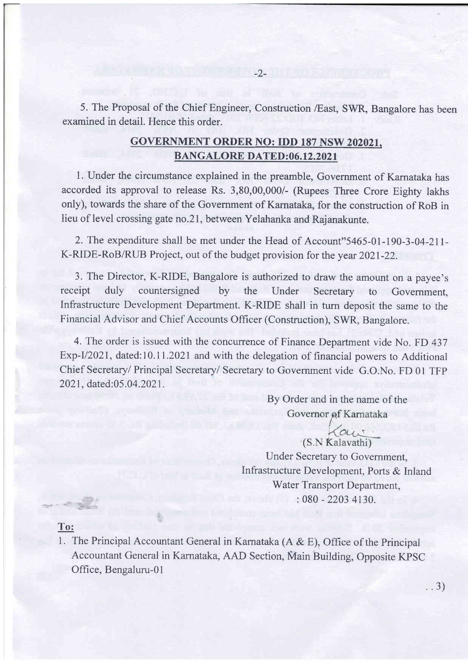5. The Proposal of the Chief Engineer, Construction /East, SWR, Bangalore has been examined in detail. Hence this order.

## GOVERNMENT ORDER NO: IDD 187 NSW 202021. BANGALORE DATED:06.12.2021

1. Under the circumstance explained in the preamble, Government of Karnataka has accorded its approval to release Rs. 3,80,00,000/- (Rupees Three Crore Eighty lakhs only), towards the share of the Government of Karnataka, for the construction of RoB in lieu of level crossing gate no.2l, between Yelahanka and Rajanakunte.

2. The expenditure shall be met under the Head of Account"5465-01-190-3-04-2lI-K-RIDE-RoB/RUB Project, out of the budget provision for the year 2O2l-22.

3. The Director, K-RIDE, Bangalore is authorized to draw the amount on a payee's receipt duly countersigned by the Under Secretary to Govemment, Infrastructure Development Department. K-RIDE shall in furn deposit the same to the Financial Advisor and Chief Accounts Officer (Construction), SWR, Bangalore.

4. The order is issued with the concurrence of Finance Department vide No. FD 437 Exp-I/2021, dated: 10.11.2021 and with the delegation of financial powers to Additional Chief Secretary/ Principal Secretary/ Secretary to Government vide G.O.No. FD 0l TFP 2021, dated:05 .04.2021.

> By Order and in the name of the Governor of Karnataka

au. (S.N Kalavathi) Under Secretary to Government, Infrastructure Development, Ports & Inland Water Transport Department, :080 -2203 4130.

..3)

## To:

1. The Principal Accountant General in Karnataka (A  $\&$  E), Office of the Principal Accountant General in Karnataka, AAD Section, Main Building, Opposite KPSC Office, Bengaluru-O1